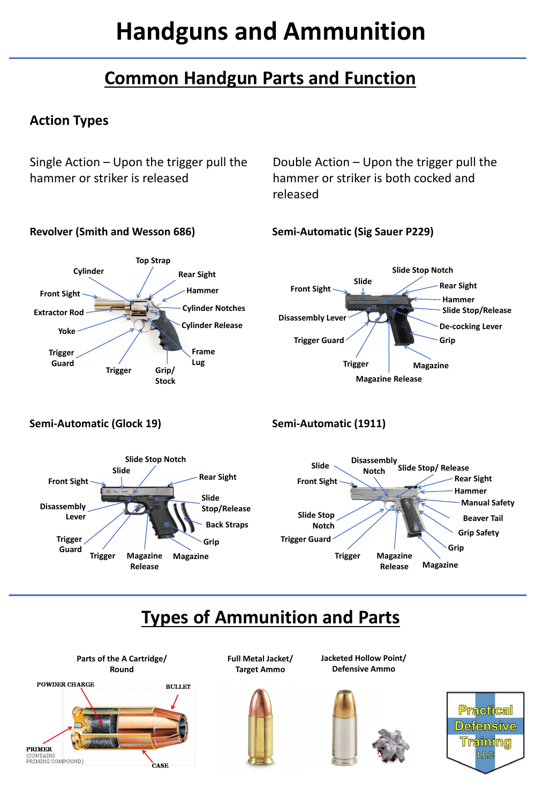# **Handguns and Ammunition**

#### **Action Types**

Single Action – Upon the trigger pull the hammer or striker is released

Double Action – Upon the trigger pull the hammer or striker is both cocked and released

#### **Revolver (Smith and Wesson 686)**





#### **Semi-Automatic (Sig Sauer P229)**



**Semi-Automatic (Glock 19)**

#### **Semi-Automatic (1911)**

## **Types of Ammunition and Parts**

**Parts of the A Cartridge/ Round**

**Full Metal Jacket/**

**Target Ammo**

**Jacketed Hollow Point/ Defensive Ammo**









## **Common Handgun Parts and Function**